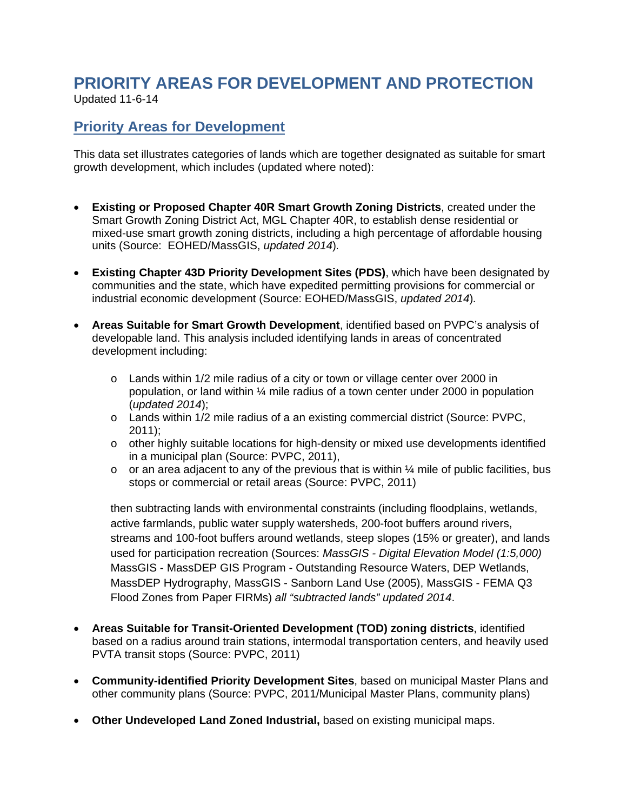#### **PRIORITY AREAS FOR DEVELOPMENT AND PROTECTION**  Updated 11-6-14

# **Priority Areas for Development**

This data set illustrates categories of lands which are together designated as suitable for smart growth development, which includes (updated where noted):

- **Existing or Proposed Chapter 40R Smart Growth Zoning Districts**, created under the Smart Growth Zoning District Act, MGL Chapter 40R, to establish dense residential or mixed-use smart growth zoning districts, including a high percentage of affordable housing units (Source: EOHED/MassGIS, *updated 2014*)*.*
- **Existing Chapter 43D Priority Development Sites (PDS)**, which have been designated by communities and the state, which have expedited permitting provisions for commercial or industrial economic development (Source: EOHED/MassGIS, *updated 2014*)*.*
- **Areas Suitable for Smart Growth Development**, identified based on PVPC's analysis of developable land. This analysis included identifying lands in areas of concentrated development including:
	- o Lands within 1/2 mile radius of a city or town or village center over 2000 in population, or land within  $\frac{1}{4}$  mile radius of a town center under 2000 in population (*updated 2014*);
	- o Lands within 1/2 mile radius of a an existing commercial district (Source: PVPC, 2011);
	- o other highly suitable locations for high-density or mixed use developments identified in a municipal plan (Source: PVPC, 2011),
	- $\circ$  or an area adjacent to any of the previous that is within  $\frac{1}{4}$  mile of public facilities, bus stops or commercial or retail areas (Source: PVPC, 2011)

then subtracting lands with environmental constraints (including floodplains, wetlands, active farmlands, public water supply watersheds, 200-foot buffers around rivers, streams and 100-foot buffers around wetlands, steep slopes (15% or greater), and lands used for participation recreation (Sources: *MassGIS - Digital Elevation Model (1:5,000)*  MassGIS - MassDEP GIS Program - Outstanding Resource Waters, DEP Wetlands, MassDEP Hydrography, MassGIS - Sanborn Land Use (2005), MassGIS - FEMA Q3 Flood Zones from Paper FIRMs) *all "subtracted lands" updated 2014*.

- **Areas Suitable for Transit-Oriented Development (TOD) zoning districts**, identified based on a radius around train stations, intermodal transportation centers, and heavily used PVTA transit stops (Source: PVPC, 2011)
- **Community-identified Priority Development Sites**, based on municipal Master Plans and other community plans (Source: PVPC, 2011/Municipal Master Plans, community plans)
- **Other Undeveloped Land Zoned Industrial,** based on existing municipal maps.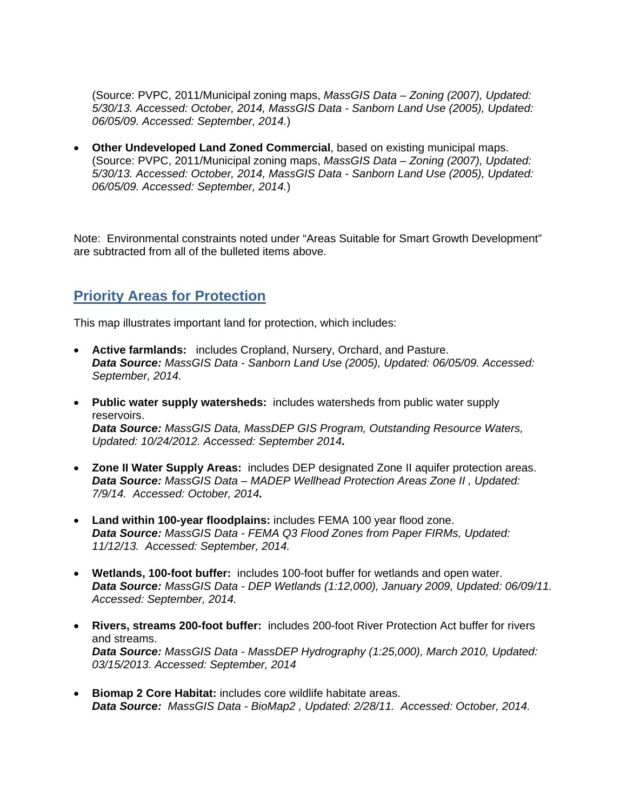(Source: PVPC, 2011/Municipal zoning maps, *MassGIS Data – Zoning (2007), Updated: 5/30/13. Accessed: October, 2014, MassGIS Data - Sanborn Land Use (2005), Updated: 06/05/09. Accessed: September, 2014.*)

 **Other Undeveloped Land Zoned Commercial**, based on existing municipal maps. (Source: PVPC, 2011/Municipal zoning maps, *MassGIS Data – Zoning (2007), Updated: 5/30/13. Accessed: October, 2014, MassGIS Data - Sanborn Land Use (2005), Updated: 06/05/09. Accessed: September, 2014.*)

Note: Environmental constraints noted under "Areas Suitable for Smart Growth Development" are subtracted from all of the bulleted items above.

### **Priority Areas for Protection**

This map illustrates important land for protection, which includes:

- **Active farmlands:** includes Cropland, Nursery, Orchard, and Pasture. *Data Source: MassGIS Data - Sanborn Land Use (2005), Updated: 06/05/09. Accessed: September, 2014.*
- **Public water supply watersheds:** includes watersheds from public water supply reservoirs. *Data Source: MassGIS Data, MassDEP GIS Program, Outstanding Resource Waters, Updated: 10/24/2012. Accessed: September 2014.*
- **Zone II Water Supply Areas:** includes DEP designated Zone II aquifer protection areas. *Data Source: MassGIS Data – MADEP Wellhead Protection Areas Zone II , Updated: 7/9/14. Accessed: October, 2014.*
- **Land within 100-year floodplains:** includes FEMA 100 year flood zone. *Data Source: MassGIS Data - FEMA Q3 Flood Zones from Paper FIRMs, Updated: 11/12/13. Accessed: September, 2014.*
- **Wetlands, 100-foot buffer:** includes 100-foot buffer for wetlands and open water. *Data Source: MassGIS Data - DEP Wetlands (1:12,000), January 2009, Updated: 06/09/11. Accessed: September, 2014.*
- **Rivers, streams 200-foot buffer:** includes 200-foot River Protection Act buffer for rivers and streams. *Data Source: MassGIS Data - MassDEP Hydrography (1:25,000), March 2010, Updated: 03/15/2013. Accessed: September, 2014*
- **Biomap 2 Core Habitat:** includes core wildlife habitate areas. *Data Source:**MassGIS Data - BioMap2 , Updated: 2/28/11. Accessed: October, 2014.*